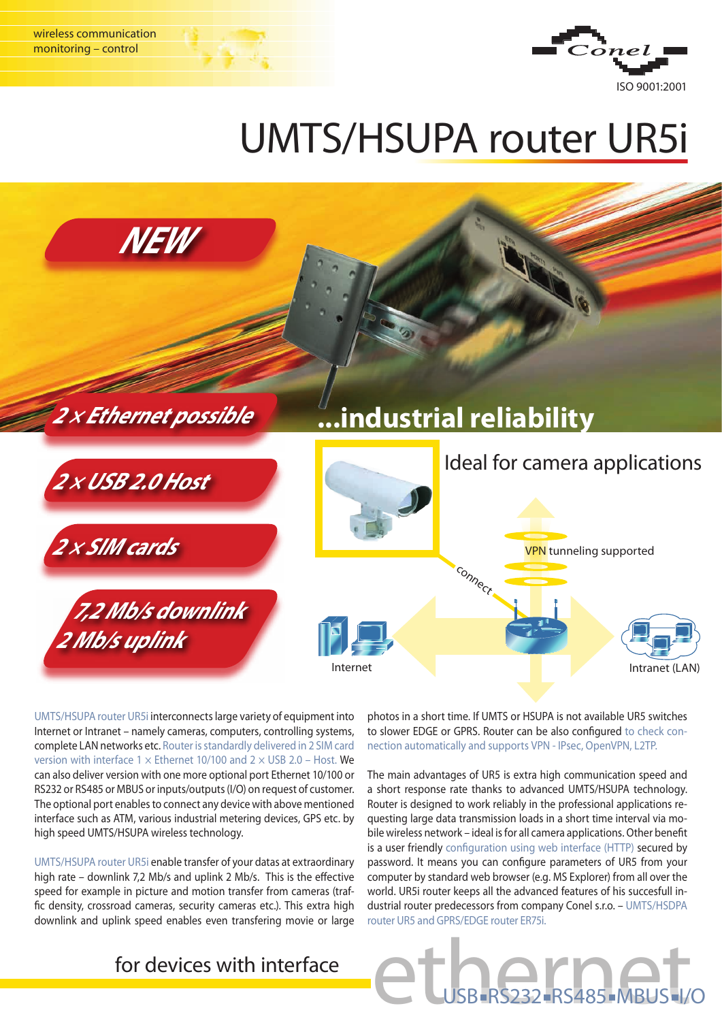

## UMTS/HSUPA router UR5i



UMTS/HSUPA router UR5i interconnects large variety of equipment into Internet or Intranet – namely cameras, computers, controlling systems, complete LAN networks etc. Router is standardly delivered in 2 SIM card version with interface 1  $\times$  Ethernet 10/100 and 2  $\times$  USB 2.0 – Host. We can also deliver version with one more optional port Ethernet 10/100 or RS232 or RS485 or MBUS or inputs/outputs (I/O) on request of customer. The optional port enables to connect any device with above mentioned interface such as ATM, various industrial metering devices, GPS etc. by high speed UMTS/HSUPA wireless technology.

UMTS/HSUPA router UR5i enable transfer of your datas at extraordinary high rate – downlink 7,2 Mb/s and uplink 2 Mb/s. This is the effective speed for example in picture and motion transfer from cameras (traffic density, crossroad cameras, security cameras etc.). This extra high downlink and uplink speed enables even transfering movie or large

photos in a short time. If UMTS or HSUPA is not available UR5 switches to slower EDGE or GPRS. Router can be also configured to check connection automatically and supports VPN - IPsec, OpenVPN, L2TP.

The main advantages of UR5 is extra high communication speed and a short response rate thanks to advanced UMTS/HSUPA technology. Router is designed to work reliably in the professional applications requesting large data transmission loads in a short time interval via mobile wireless network – ideal is for all camera applications. Other benefit is a user friendly configuration using web interface (HTTP) secured by password. It means you can configure parameters of UR5 from your computer by standard web browser (e.g. MS Explorer) from all over the world. UR5i router keeps all the advanced features of his succesfull industrial router predecessors from company Conel s.r.o. – UMTS/HSDPA router UR5 and GPRS/EDGE router ER75i.